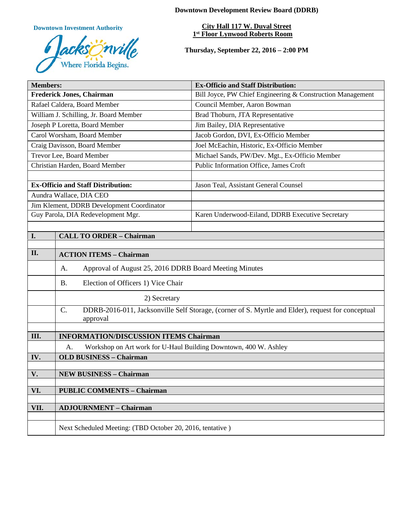**Downtown Investment Authority**



**Downtown Development Review Board (DDRB)**

**City Hall 117 W. Duval Street 1st Floor Lynwood Roberts Room** 

**Thursday, September 22, 2016 – 2:00 PM**

| <b>Members:</b>                           |                                                                                                                                  | <b>Ex-Officio and Staff Distribution:</b>                  |  |
|-------------------------------------------|----------------------------------------------------------------------------------------------------------------------------------|------------------------------------------------------------|--|
| <b>Frederick Jones, Chairman</b>          |                                                                                                                                  | Bill Joyce, PW Chief Engineering & Construction Management |  |
| Rafael Caldera, Board Member              |                                                                                                                                  | Council Member, Aaron Bowman                               |  |
| William J. Schilling, Jr. Board Member    |                                                                                                                                  | Brad Thoburn, JTA Representative                           |  |
| Joseph P Loretta, Board Member            |                                                                                                                                  | Jim Bailey, DIA Representative                             |  |
| Carol Worsham, Board Member               |                                                                                                                                  | Jacob Gordon, DVI, Ex-Officio Member                       |  |
| Craig Davisson, Board Member              |                                                                                                                                  | Joel McEachin, Historic, Ex-Officio Member                 |  |
| Trevor Lee, Board Member                  |                                                                                                                                  | Michael Sands, PW/Dev. Mgt., Ex-Officio Member             |  |
| Christian Harden, Board Member            |                                                                                                                                  | Public Information Office, James Croft                     |  |
|                                           |                                                                                                                                  |                                                            |  |
| <b>Ex-Officio and Staff Distribution:</b> |                                                                                                                                  | Jason Teal, Assistant General Counsel                      |  |
| Aundra Wallace, DIA CEO                   |                                                                                                                                  |                                                            |  |
| Jim Klement, DDRB Development Coordinator |                                                                                                                                  |                                                            |  |
| Guy Parola, DIA Redevelopment Mgr.        |                                                                                                                                  | Karen Underwood-Eiland, DDRB Executive Secretary           |  |
|                                           |                                                                                                                                  |                                                            |  |
| I.                                        | <b>CALL TO ORDER - Chairman</b>                                                                                                  |                                                            |  |
|                                           |                                                                                                                                  |                                                            |  |
| II.                                       | <b>ACTION ITEMS - Chairman</b>                                                                                                   |                                                            |  |
|                                           | Approval of August 25, 2016 DDRB Board Meeting Minutes<br>А.                                                                     |                                                            |  |
|                                           | <b>B.</b><br>Election of Officers 1) Vice Chair                                                                                  |                                                            |  |
|                                           | 2) Secretary                                                                                                                     |                                                            |  |
|                                           | $\mathcal{C}$ .<br>DDRB-2016-011, Jacksonville Self Storage, (corner of S. Myrtle and Elder), request for conceptual<br>approval |                                                            |  |
|                                           |                                                                                                                                  |                                                            |  |
| Ш.                                        | <b>INFORMATION/DISCUSSION ITEMS Chairman</b>                                                                                     |                                                            |  |
|                                           | Workshop on Art work for U-Haul Building Downtown, 400 W. Ashley<br>A.                                                           |                                                            |  |
| IV.                                       | <b>OLD BUSINESS - Chairman</b>                                                                                                   |                                                            |  |
|                                           |                                                                                                                                  |                                                            |  |
| V.                                        | <b>NEW BUSINESS - Chairman</b>                                                                                                   |                                                            |  |
| VI.                                       | <b>PUBLIC COMMENTS - Chairman</b>                                                                                                |                                                            |  |
|                                           |                                                                                                                                  |                                                            |  |
| VII.                                      | <b>ADJOURNMENT - Chairman</b>                                                                                                    |                                                            |  |
|                                           |                                                                                                                                  |                                                            |  |
|                                           | Next Scheduled Meeting: (TBD October 20, 2016, tentative)                                                                        |                                                            |  |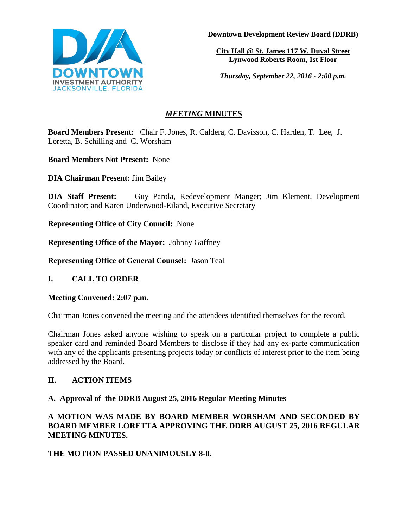

**Downtown Development Review Board (DDRB)**

**City Hall @ St. James 117 W. Duval Street Lynwood Roberts Room, 1st Floor** 

*Thursday, September 22, 2016 - 2:00 p.m.*

# *MEETING* **MINUTES**

**Board Members Present:** Chair F. Jones, R. Caldera, C. Davisson, C. Harden, T. Lee, J. Loretta, B. Schilling and C. Worsham

**Board Members Not Present:** None

**DIA Chairman Present:** Jim Bailey

**DIA Staff Present:** Guy Parola, Redevelopment Manger; Jim Klement, Development Coordinator; and Karen Underwood-Eiland, Executive Secretary

**Representing Office of City Council:** None

**Representing Office of the Mayor:** Johnny Gaffney

**Representing Office of General Counsel:** Jason Teal

**I. CALL TO ORDER**

**Meeting Convened: 2:07 p.m.** 

Chairman Jones convened the meeting and the attendees identified themselves for the record.

Chairman Jones asked anyone wishing to speak on a particular project to complete a public speaker card and reminded Board Members to disclose if they had any ex-parte communication with any of the applicants presenting projects today or conflicts of interest prior to the item being addressed by the Board.

# **II. ACTION ITEMS**

# **A. Approval of the DDRB August 25, 2016 Regular Meeting Minutes**

**A MOTION WAS MADE BY BOARD MEMBER WORSHAM AND SECONDED BY BOARD MEMBER LORETTA APPROVING THE DDRB AUGUST 25, 2016 REGULAR MEETING MINUTES.** 

**THE MOTION PASSED UNANIMOUSLY 8-0.**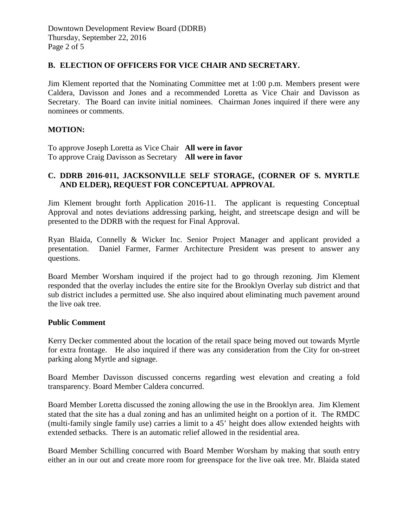# **B. ELECTION OF OFFICERS FOR VICE CHAIR AND SECRETARY.**

Jim Klement reported that the Nominating Committee met at 1:00 p.m. Members present were Caldera, Davisson and Jones and a recommended Loretta as Vice Chair and Davisson as Secretary. The Board can invite initial nominees. Chairman Jones inquired if there were any nominees or comments.

# **MOTION:**

To approve Joseph Loretta as Vice Chair **All were in favor** To approve Craig Davisson as Secretary **All were in favor** 

# **C. DDRB 2016-011, JACKSONVILLE SELF STORAGE, (CORNER OF S. MYRTLE AND ELDER), REQUEST FOR CONCEPTUAL APPROVAL**

Jim Klement brought forth Application 2016-11. The applicant is requesting Conceptual Approval and notes deviations addressing parking, height, and streetscape design and will be presented to the DDRB with the request for Final Approval.

Ryan Blaida, Connelly & Wicker Inc. Senior Project Manager and applicant provided a presentation. Daniel Farmer, Farmer Architecture President was present to answer any questions.

Board Member Worsham inquired if the project had to go through rezoning. Jim Klement responded that the overlay includes the entire site for the Brooklyn Overlay sub district and that sub district includes a permitted use. She also inquired about eliminating much pavement around the live oak tree.

#### **Public Comment**

Kerry Decker commented about the location of the retail space being moved out towards Myrtle for extra frontage. He also inquired if there was any consideration from the City for on-street parking along Myrtle and signage.

Board Member Davisson discussed concerns regarding west elevation and creating a fold transparency. Board Member Caldera concurred.

Board Member Loretta discussed the zoning allowing the use in the Brooklyn area. Jim Klement stated that the site has a dual zoning and has an unlimited height on a portion of it. The RMDC (multi-family single family use) carries a limit to a 45' height does allow extended heights with extended setbacks. There is an automatic relief allowed in the residential area.

Board Member Schilling concurred with Board Member Worsham by making that south entry either an in our out and create more room for greenspace for the live oak tree. Mr. Blaida stated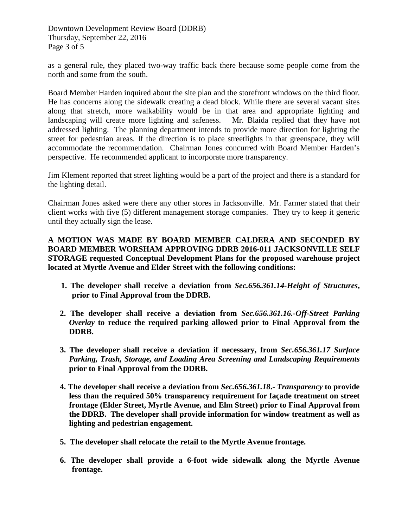Downtown Development Review Board (DDRB) Thursday, September 22, 2016 Page 3 of 5

as a general rule, they placed two-way traffic back there because some people come from the north and some from the south.

Board Member Harden inquired about the site plan and the storefront windows on the third floor. He has concerns along the sidewalk creating a dead block. While there are several vacant sites along that stretch, more walkability would be in that area and appropriate lighting and landscaping will create more lighting and safeness. Mr. Blaida replied that they have not addressed lighting. The planning department intends to provide more direction for lighting the street for pedestrian areas. If the direction is to place streetlights in that greenspace, they will accommodate the recommendation. Chairman Jones concurred with Board Member Harden's perspective. He recommended applicant to incorporate more transparency.

Jim Klement reported that street lighting would be a part of the project and there is a standard for the lighting detail.

Chairman Jones asked were there any other stores in Jacksonville. Mr. Farmer stated that their client works with five (5) different management storage companies. They try to keep it generic until they actually sign the lease.

**A MOTION WAS MADE BY BOARD MEMBER CALDERA AND SECONDED BY BOARD MEMBER WORSHAM APPROVING DDRB 2016-011 JACKSONVILLE SELF STORAGE requested Conceptual Development Plans for the proposed warehouse project located at Myrtle Avenue and Elder Street with the following conditions:**

- **1. The developer shall receive a deviation from** *Sec.656.361.14-Height of Structures***, prior to Final Approval from the DDRB.**
- **2. The developer shall receive a deviation from** *Sec.656.361.16.-Off-Street Parking Overlay* **to reduce the required parking allowed prior to Final Approval from the DDRB.**
- **3. The developer shall receive a deviation if necessary, from** *Sec.656.361.17 Surface Parking, Trash, Storage, and Loading Area Screening and Landscaping Requirements* **prior to Final Approval from the DDRB.**
- **4. The developer shall receive a deviation from** *Sec.656.361.18***.-** *Transparency* **to provide less than the required 50% transparency requirement for façade treatment on street frontage (Elder Street, Myrtle Avenue, and Elm Street) prior to Final Approval from the DDRB. The developer shall provide information for window treatment as well as lighting and pedestrian engagement.**
- **5. The developer shall relocate the retail to the Myrtle Avenue frontage.**
- **6. The developer shall provide a 6-foot wide sidewalk along the Myrtle Avenue frontage.**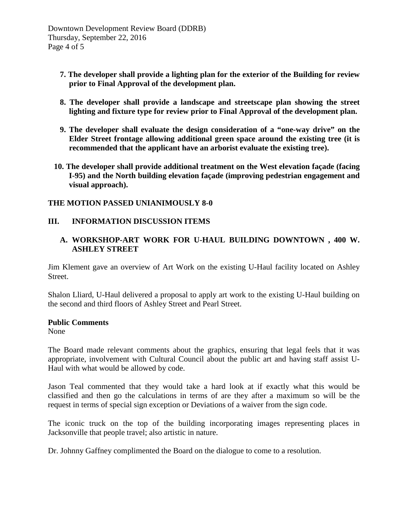- **7. The developer shall provide a lighting plan for the exterior of the Building for review prior to Final Approval of the development plan.**
- **8. The developer shall provide a landscape and streetscape plan showing the street lighting and fixture type for review prior to Final Approval of the development plan.**
- **9. The developer shall evaluate the design consideration of a "one-way drive" on the Elder Street frontage allowing additional green space around the existing tree (it is recommended that the applicant have an arborist evaluate the existing tree).**
- **10. The developer shall provide additional treatment on the West elevation façade (facing I-95) and the North building elevation façade (improving pedestrian engagement and visual approach).**

## **THE MOTION PASSED UNIANIMOUSLY 8-0**

## **III. INFORMATION DISCUSSION ITEMS**

# **A. WORKSHOP-ART WORK FOR U-HAUL BUILDING DOWNTOWN , 400 W. ASHLEY STREET**

Jim Klement gave an overview of Art Work on the existing U-Haul facility located on Ashley Street.

Shalon Lliard, U-Haul delivered a proposal to apply art work to the existing U-Haul building on the second and third floors of Ashley Street and Pearl Street.

#### **Public Comments**

None

The Board made relevant comments about the graphics, ensuring that legal feels that it was appropriate, involvement with Cultural Council about the public art and having staff assist U-Haul with what would be allowed by code.

Jason Teal commented that they would take a hard look at if exactly what this would be classified and then go the calculations in terms of are they after a maximum so will be the request in terms of special sign exception or Deviations of a waiver from the sign code.

The iconic truck on the top of the building incorporating images representing places in Jacksonville that people travel; also artistic in nature.

Dr. Johnny Gaffney complimented the Board on the dialogue to come to a resolution.